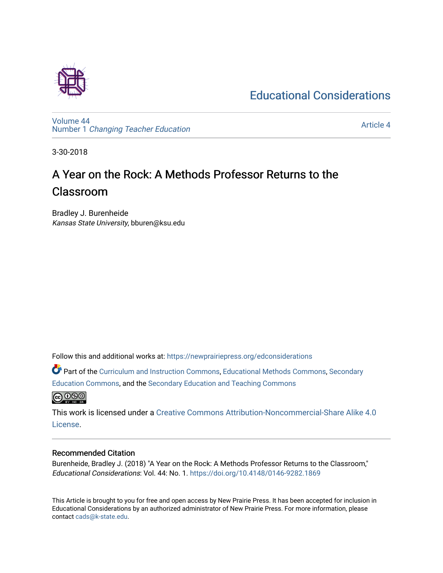## [Educational Considerations](https://newprairiepress.org/edconsiderations)



[Volume 44](https://newprairiepress.org/edconsiderations/vol44) Number 1 [Changing Teacher Education](https://newprairiepress.org/edconsiderations/vol44/iss1) 

[Article 4](https://newprairiepress.org/edconsiderations/vol44/iss1/4) 

3-30-2018

# A Year on the Rock: A Methods Professor Returns to the Classroom

Bradley J. Burenheide Kansas State University, bburen@ksu.edu

Follow this and additional works at: [https://newprairiepress.org/edconsiderations](https://newprairiepress.org/edconsiderations?utm_source=newprairiepress.org%2Fedconsiderations%2Fvol44%2Fiss1%2F4&utm_medium=PDF&utm_campaign=PDFCoverPages) 

Part of the [Curriculum and Instruction Commons,](http://network.bepress.com/hgg/discipline/786?utm_source=newprairiepress.org%2Fedconsiderations%2Fvol44%2Fiss1%2F4&utm_medium=PDF&utm_campaign=PDFCoverPages) [Educational Methods Commons,](http://network.bepress.com/hgg/discipline/1227?utm_source=newprairiepress.org%2Fedconsiderations%2Fvol44%2Fiss1%2F4&utm_medium=PDF&utm_campaign=PDFCoverPages) [Secondary](http://network.bepress.com/hgg/discipline/1382?utm_source=newprairiepress.org%2Fedconsiderations%2Fvol44%2Fiss1%2F4&utm_medium=PDF&utm_campaign=PDFCoverPages) [Education Commons,](http://network.bepress.com/hgg/discipline/1382?utm_source=newprairiepress.org%2Fedconsiderations%2Fvol44%2Fiss1%2F4&utm_medium=PDF&utm_campaign=PDFCoverPages) and the [Secondary Education and Teaching Commons](http://network.bepress.com/hgg/discipline/809?utm_source=newprairiepress.org%2Fedconsiderations%2Fvol44%2Fiss1%2F4&utm_medium=PDF&utm_campaign=PDFCoverPages)



This work is licensed under a [Creative Commons Attribution-Noncommercial-Share Alike 4.0](https://creativecommons.org/licenses/by-nc-sa/4.0/) [License.](https://creativecommons.org/licenses/by-nc-sa/4.0/)

#### Recommended Citation

Burenheide, Bradley J. (2018) "A Year on the Rock: A Methods Professor Returns to the Classroom," Educational Considerations: Vol. 44: No. 1. <https://doi.org/10.4148/0146-9282.1869>

This Article is brought to you for free and open access by New Prairie Press. It has been accepted for inclusion in Educational Considerations by an authorized administrator of New Prairie Press. For more information, please contact [cads@k-state.edu](mailto:cads@k-state.edu).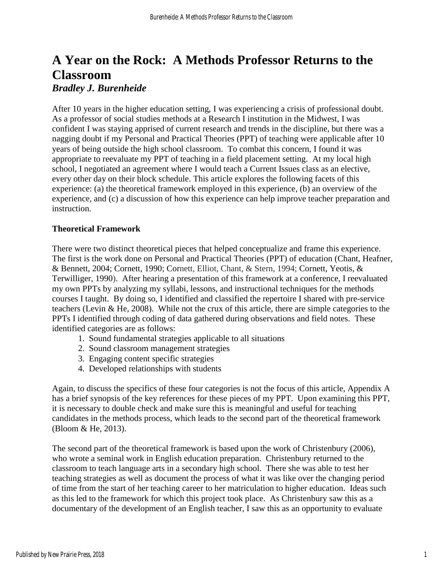## **A Year on the Rock: A Methods Professor Returns to the Classroom** *Bradley J. Burenheide*

After 10 years in the higher education setting, I was experiencing a crisis of professional doubt. As a professor of social studies methods at a Research I institution in the Midwest, I was confident I was staying apprised of current research and trends in the discipline, but there was a nagging doubt if my Personal and Practical Theories (PPT) of teaching were applicable after 10 years of being outside the high school classroom. To combat this concern, I found it was appropriate to reevaluate my PPT of teaching in a field placement setting. At my local high school, I negotiated an agreement where I would teach a Current Issues class as an elective, every other day on their block schedule. This article explores the following facets of this experience: (a) the theoretical framework employed in this experience, (b) an overview of the experience, and (c) a discussion of how this experience can help improve teacher preparation and instruction.

#### **Theoretical Framework**

There were two distinct theoretical pieces that helped conceptualize and frame this experience. The first is the work done on Personal and Practical Theories (PPT) of education (Chant, Heafner, & Bennett, 2004; Cornett, 1990; Cornett, Elliot, Chant, & Stern, 1994; Cornett, Yeotis, & Terwilliger, 1990). After hearing a presentation of this framework at a conference, I reevaluated my own PPTs by analyzing my syllabi, lessons, and instructional techniques for the methods courses I taught. By doing so, I identified and classified the repertoire I shared with pre-service teachers (Levin & He, 2008). While not the crux of this article, there are simple categories to the PPTs I identified through coding of data gathered during observations and field notes. These identified categories are as follows:

- 1. Sound fundamental strategies applicable to all situations
- 2. Sound classroom management strategies
- 3. Engaging content specific strategies
- 4. Developed relationships with students

Again, to discuss the specifics of these four categories is not the focus of this article, Appendix A has a brief synopsis of the key references for these pieces of my PPT. Upon examining this PPT, it is necessary to double check and make sure this is meaningful and useful for teaching candidates in the methods process, which leads to the second part of the theoretical framework (Bloom & He, 2013).

The second part of the theoretical framework is based upon the work of Christenbury (2006), who wrote a seminal work in English education preparation. Christenbury returned to the classroom to teach language arts in a secondary high school. There she was able to test her teaching strategies as well as document the process of what it was like over the changing period of time from the start of her teaching career to her matriculation to higher education. Ideas such as this led to the framework for which this project took place. As Christenbury saw this as a documentary of the development of an English teacher, I saw this as an opportunity to evaluate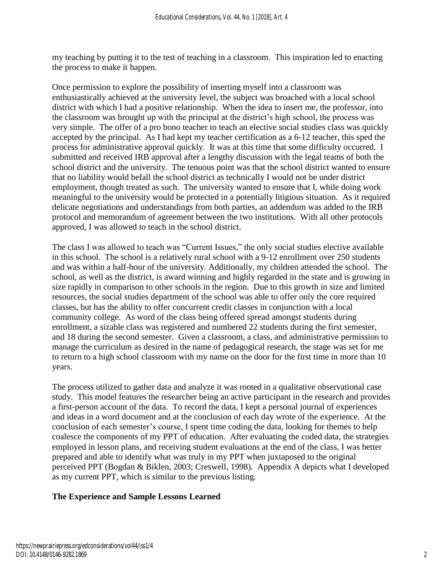my teaching by putting it to the test of teaching in a classroom. This inspiration led to enacting the process to make it happen.

Once permission to explore the possibility of inserting myself into a classroom was enthusiastically achieved at the university level, the subject was broached with a local school district with which I had a positive relationship. When the idea to insert me, the professor, into the classroom was brought up with the principal at the district's high school, the process was very simple. The offer of a pro bono teacher to teach an elective social studies class was quickly accepted by the principal. As I had kept my teacher certification as a 6-12 teacher, this sped the process for administrative approval quickly. It was at this time that some difficulty occurred. I submitted and received IRB approval after a lengthy discussion with the legal teams of both the school district and the university. The tenuous point was that the school district wanted to ensure that no liability would befall the school district as technically I would not be under district employment, though treated as such. The university wanted to ensure that I, while doing work meaningful to the university would be protected in a potentially litigious situation. As it required delicate negotiations and understandings from both parties, an addendum was added to the IRB protocol and memorandum of agreement between the two institutions. With all other protocols approved, I was allowed to teach in the school district.

The class I was allowed to teach was "Current Issues," the only social studies elective available in this school. The school is a relatively rural school with a 9-12 enrollment over 250 students and was within a half-hour of the university. Additionally, my children attended the school. The school, as well as the district, is award winning and highly regarded in the state and is growing in size rapidly in comparison to other schools in the region. Due to this growth in size and limited resources, the social studies department of the school was able to offer only the core required classes, but has the ability to offer concurrent credit classes in conjunction with a local community college. As word of the class being offered spread amongst students during enrollment, a sizable class was registered and numbered 22 students during the first semester, and 18 during the second semester. Given a classroom, a class, and administrative permission to manage the curriculum as desired in the name of pedagogical research, the stage was set for me to return to a high school classroom with my name on the door for the first time in more than 10 years.

The process utilized to gather data and analyze it was rooted in a qualitative observational case study. This model features the researcher being an active participant in the research and provides a first-person account of the data. To record the data, I kept a personal journal of experiences and ideas in a word document and at the conclusion of each day wrote of the experience. At the conclusion of each semester's course, I spent time coding the data, looking for themes to help coalesce the components of my PPT of education. After evaluating the coded data, the strategies employed in lesson plans, and receiving student evaluations at the end of the class, I was better prepared and able to identify what was truly in my PPT when juxtaposed to the original perceived PPT (Bogdan & Biklen, 2003; Creswell, 1998). Appendix A depicts what I developed as my current PPT, which is similar to the previous listing.

### **The Experience and Sample Lessons Learned**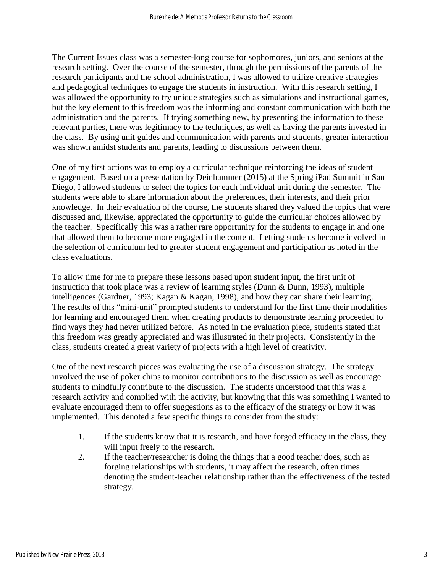The Current Issues class was a semester-long course for sophomores, juniors, and seniors at the research setting. Over the course of the semester, through the permissions of the parents of the research participants and the school administration, I was allowed to utilize creative strategies and pedagogical techniques to engage the students in instruction. With this research setting, I was allowed the opportunity to try unique strategies such as simulations and instructional games, but the key element to this freedom was the informing and constant communication with both the administration and the parents. If trying something new, by presenting the information to these relevant parties, there was legitimacy to the techniques, as well as having the parents invested in the class. By using unit guides and communication with parents and students, greater interaction was shown amidst students and parents, leading to discussions between them.

One of my first actions was to employ a curricular technique reinforcing the ideas of student engagement. Based on a presentation by Deinhammer (2015) at the Spring iPad Summit in San Diego, I allowed students to select the topics for each individual unit during the semester. The students were able to share information about the preferences, their interests, and their prior knowledge. In their evaluation of the course, the students shared they valued the topics that were discussed and, likewise, appreciated the opportunity to guide the curricular choices allowed by the teacher. Specifically this was a rather rare opportunity for the students to engage in and one that allowed them to become more engaged in the content. Letting students become involved in the selection of curriculum led to greater student engagement and participation as noted in the class evaluations.

To allow time for me to prepare these lessons based upon student input, the first unit of instruction that took place was a review of learning styles (Dunn & Dunn, 1993), multiple intelligences (Gardner, 1993; Kagan & Kagan, 1998), and how they can share their learning. The results of this "mini-unit" prompted students to understand for the first time their modalities for learning and encouraged them when creating products to demonstrate learning proceeded to find ways they had never utilized before. As noted in the evaluation piece, students stated that this freedom was greatly appreciated and was illustrated in their projects. Consistently in the class, students created a great variety of projects with a high level of creativity.

One of the next research pieces was evaluating the use of a discussion strategy. The strategy involved the use of poker chips to monitor contributions to the discussion as well as encourage students to mindfully contribute to the discussion. The students understood that this was a research activity and complied with the activity, but knowing that this was something I wanted to evaluate encouraged them to offer suggestions as to the efficacy of the strategy or how it was implemented. This denoted a few specific things to consider from the study:

- 1. If the students know that it is research, and have forged efficacy in the class, they will input freely to the research.
- 2. If the teacher/researcher is doing the things that a good teacher does, such as forging relationships with students, it may affect the research, often times denoting the student-teacher relationship rather than the effectiveness of the tested strategy.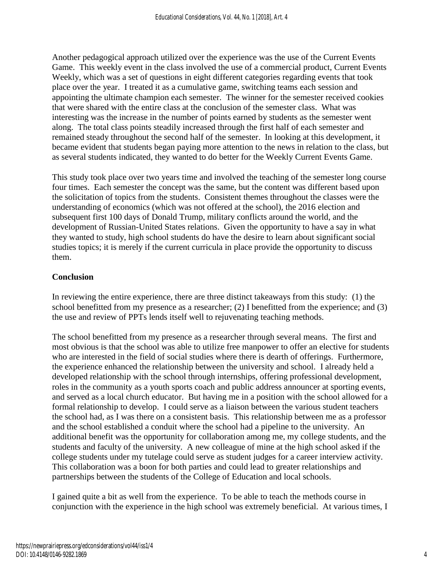Another pedagogical approach utilized over the experience was the use of the Current Events Game. This weekly event in the class involved the use of a commercial product, Current Events Weekly, which was a set of questions in eight different categories regarding events that took place over the year. I treated it as a cumulative game, switching teams each session and appointing the ultimate champion each semester. The winner for the semester received cookies that were shared with the entire class at the conclusion of the semester class. What was interesting was the increase in the number of points earned by students as the semester went along. The total class points steadily increased through the first half of each semester and remained steady throughout the second half of the semester. In looking at this development, it became evident that students began paying more attention to the news in relation to the class, but as several students indicated, they wanted to do better for the Weekly Current Events Game.

This study took place over two years time and involved the teaching of the semester long course four times. Each semester the concept was the same, but the content was different based upon the solicitation of topics from the students. Consistent themes throughout the classes were the understanding of economics (which was not offered at the school), the 2016 election and subsequent first 100 days of Donald Trump, military conflicts around the world, and the development of Russian-United States relations. Given the opportunity to have a say in what they wanted to study, high school students do have the desire to learn about significant social studies topics; it is merely if the current curricula in place provide the opportunity to discuss them.

### **Conclusion**

In reviewing the entire experience, there are three distinct takeaways from this study: (1) the school benefitted from my presence as a researcher; (2) I benefitted from the experience; and (3) the use and review of PPTs lends itself well to rejuvenating teaching methods.

The school benefitted from my presence as a researcher through several means. The first and most obvious is that the school was able to utilize free manpower to offer an elective for students who are interested in the field of social studies where there is dearth of offerings. Furthermore, the experience enhanced the relationship between the university and school. I already held a developed relationship with the school through internships, offering professional development, roles in the community as a youth sports coach and public address announcer at sporting events, and served as a local church educator. But having me in a position with the school allowed for a formal relationship to develop. I could serve as a liaison between the various student teachers the school had, as I was there on a consistent basis. This relationship between me as a professor and the school established a conduit where the school had a pipeline to the university. An additional benefit was the opportunity for collaboration among me, my college students, and the students and faculty of the university. A new colleague of mine at the high school asked if the college students under my tutelage could serve as student judges for a career interview activity. This collaboration was a boon for both parties and could lead to greater relationships and partnerships between the students of the College of Education and local schools.

I gained quite a bit as well from the experience. To be able to teach the methods course in conjunction with the experience in the high school was extremely beneficial. At various times, I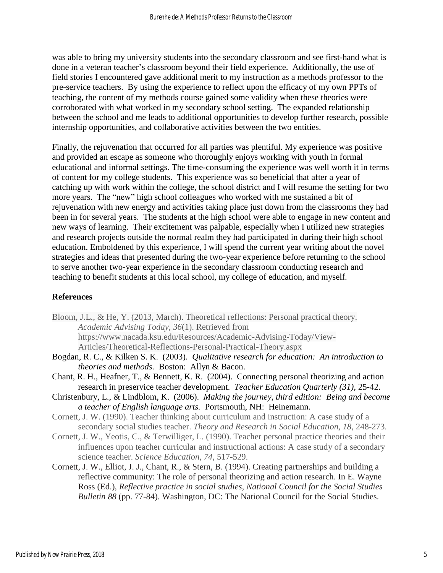was able to bring my university students into the secondary classroom and see first-hand what is done in a veteran teacher's classroom beyond their field experience. Additionally, the use of field stories I encountered gave additional merit to my instruction as a methods professor to the pre-service teachers. By using the experience to reflect upon the efficacy of my own PPTs of teaching, the content of my methods course gained some validity when these theories were corroborated with what worked in my secondary school setting. The expanded relationship between the school and me leads to additional opportunities to develop further research, possible internship opportunities, and collaborative activities between the two entities.

Finally, the rejuvenation that occurred for all parties was plentiful. My experience was positive and provided an escape as someone who thoroughly enjoys working with youth in formal educational and informal settings. The time-consuming the experience was well worth it in terms of content for my college students. This experience was so beneficial that after a year of catching up with work within the college, the school district and I will resume the setting for two more years. The "new" high school colleagues who worked with me sustained a bit of rejuvenation with new energy and activities taking place just down from the classrooms they had been in for several years. The students at the high school were able to engage in new content and new ways of learning. Their excitement was palpable, especially when I utilized new strategies and research projects outside the normal realm they had participated in during their high school education. Emboldened by this experience, I will spend the current year writing about the novel strategies and ideas that presented during the two-year experience before returning to the school to serve another two-year experience in the secondary classroom conducting research and teaching to benefit students at this local school, my college of education, and myself.

#### **References**

- Bloom, J.L., & He, Y. (2013, March). Theoretical reflections: Personal practical theory. *Academic Advising Today*, *36*(1). Retrieved from https://www.nacada.ksu.edu/Resources/Academic-Advising-Today/View-Articles/Theoretical-Reflections-Personal-Practical-Theory.aspx
- Bogdan, R. C., & Kilken S. K. (2003). *Qualitative research for education: An introduction to theories and methods.* Boston: Allyn & Bacon.
- Chant, R. H., Heafner, T., & Bennett, K. R. (2004). Connecting personal theorizing and action research in preservice teacher development. *Teacher Education Quarterly (31),* 25-42.
- Christenbury, L., & Lindblom, K. (2006). *Making the journey, third edition: Being and become a teacher of English language arts.* Portsmouth, NH: Heinemann.
- Cornett, J. W. (1990). Teacher thinking about curriculum and instruction: A case study of a secondary social studies teacher. *Theory and Research in Social Education, 18,* 248-273.
- Cornett, J. W., Yeotis, C., & Terwilliger, L. (1990). Teacher personal practice theories and their influences upon teacher curricular and instructional actions: A case study of a secondary science teacher. *Science Education, 74*, 517-529.
- Cornett, J. W., Elliot, J. J., Chant, R., & Stern, B. (1994). Creating partnerships and building a reflective community: The role of personal theorizing and action research. In E. Wayne Ross (Ed.), *Reflective practice in social studies, National Council for the Social Studies Bulletin 88* (pp. 77-84). Washington, DC: The National Council for the Social Studies.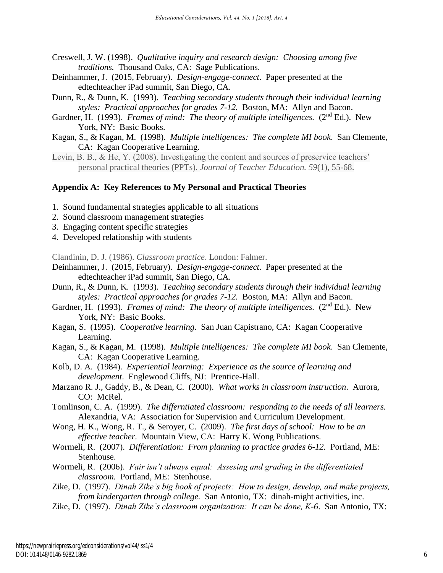- Creswell, J. W. (1998). *Qualitative inquiry and research design: Choosing among five traditions.* Thousand Oaks, CA: Sage Publications.
- Deinhammer, J. (2015, February). *Design-engage-connect*. Paper presented at the edtechteacher iPad summit, San Diego, CA.
- Dunn, R., & Dunn, K. (1993). *Teaching secondary students through their individual learning styles: Practical approaches for grades 7-12.* Boston, MA: Allyn and Bacon.
- Gardner, H. (1993). *Frames of mind: The theory of multiple intelligences.* (2<sup>nd</sup> Ed.). New York, NY: Basic Books.
- Kagan, S., & Kagan, M. (1998). *Multiple intelligences: The complete MI book*. San Clemente, CA: Kagan Cooperative Learning.
- Levin, B. B., & He, Y. (2008). Investigating the content and sources of preservice teachers' personal practical theories (PPTs). *Journal of Teacher Education. 59*(1), 55-68.

#### **Appendix A: Key References to My Personal and Practical Theories**

- 1. Sound fundamental strategies applicable to all situations
- 2. Sound classroom management strategies
- 3. Engaging content specific strategies
- 4. Developed relationship with students

Clandinin, D. J. (1986). *Classroom practice*. London: Falmer.

- Deinhammer, J. (2015, February). *Design-engage-connect*. Paper presented at the edtechteacher iPad summit, San Diego, CA.
- Dunn, R., & Dunn, K. (1993). *Teaching secondary students through their individual learning styles: Practical approaches for grades 7-12.* Boston, MA: Allyn and Bacon.
- Gardner, H. (1993). *Frames of mind: The theory of multiple intelligences.* (2<sup>nd</sup> Ed.). New York, NY: Basic Books.
- Kagan, S. (1995). *Cooperative learning*. San Juan Capistrano, CA: Kagan Cooperative Learning.
- Kagan, S., & Kagan, M. (1998). *Multiple intelligences: The complete MI book*. San Clemente, CA: Kagan Cooperative Learning.
- Kolb, D. A. (1984). *Experiential learning: Experience as the source of learning and development*. Englewood Cliffs, NJ: Prentice-Hall.
- Marzano R. J., Gaddy, B., & Dean, C. (2000). *What works in classroom instruction*. Aurora, CO: McRel.

Tomlinson, C. A. (1999). *The differntiated classroom: responding to the needs of all learners.*  Alexandria, VA: Association for Supervision and Curriculum Development.

- Wong, H. K., Wong, R. T., & Seroyer, C. (2009). *The first days of school: How to be an effective teacher.* Mountain View, CA: Harry K. Wong Publications.
- Wormeli, R. (2007). *Differentiation: From planning to practice grades 6-12.* Portland, ME: Stenhouse.
- Wormeli, R. (2006). *Fair isn't always equal: Assesing and grading in the differentiated classroom.* Portland, ME: Stenhouse.
- Zike, D. (1997). *Dinah Zike's big book of projects: How to design, develop, and make projects, from kindergarten through college.* San Antonio, TX: dinah-might activities, inc.
- Zike, D. (1997). *Dinah Zike's classroom organization: It can be done, K-6*. San Antonio, TX: